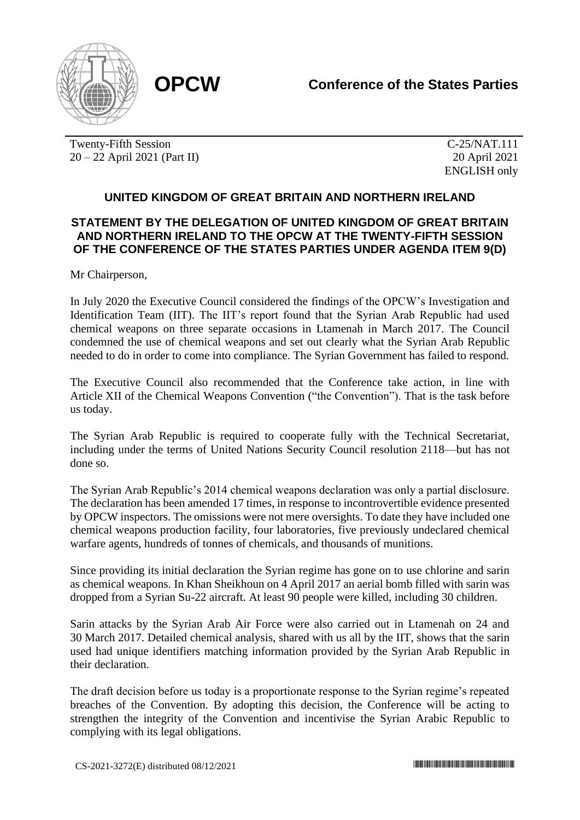

Twenty-Fifth Session 20 – 22 April 2021 (Part II)

C-25/NAT.111 20 April 2021 ENGLISH only

## **UNITED KINGDOM OF GREAT BRITAIN AND NORTHERN IRELAND**

## **STATEMENT BY THE DELEGATION OF UNITED KINGDOM OF GREAT BRITAIN AND NORTHERN IRELAND TO THE OPCW AT THE TWENTY-FIFTH SESSION OF THE CONFERENCE OF THE STATES PARTIES UNDER AGENDA ITEM 9(D)**

Mr Chairperson,

In July 2020 the Executive Council considered the findings of the OPCW's Investigation and Identification Team (IIT). The IIT's report found that the Syrian Arab Republic had used chemical weapons on three separate occasions in Ltamenah in March 2017. The Council condemned the use of chemical weapons and set out clearly what the Syrian Arab Republic needed to do in order to come into compliance. The Syrian Government has failed to respond.

The Executive Council also recommended that the Conference take action, in line with Article XII of the Chemical Weapons Convention ("the Convention"). That is the task before us today.

The Syrian Arab Republic is required to cooperate fully with the Technical Secretariat, including under the terms of United Nations Security Council resolution 2118—but has not done so.

The Syrian Arab Republic's 2014 chemical weapons declaration was only a partial disclosure. The declaration has been amended 17 times, in response to incontrovertible evidence presented by OPCW inspectors. The omissions were not mere oversights. To date they have included one chemical weapons production facility, four laboratories, five previously undeclared chemical warfare agents, hundreds of tonnes of chemicals, and thousands of munitions.

Since providing its initial declaration the Syrian regime has gone on to use chlorine and sarin as chemical weapons. In Khan Sheikhoun on 4 April 2017 an aerial bomb filled with sarin was dropped from a Syrian Su-22 aircraft. At least 90 people were killed, including 30 children.

Sarin attacks by the Syrian Arab Air Force were also carried out in Ltamenah on 24 and 30 March 2017. Detailed chemical analysis, shared with us all by the IIT, shows that the sarin used had unique identifiers matching information provided by the Syrian Arab Republic in their declaration.

The draft decision before us today is a proportionate response to the Syrian regime's repeated breaches of the Convention. By adopting this decision, the Conference will be acting to strengthen the integrity of the Convention and incentivise the Syrian Arabic Republic to complying with its legal obligations.